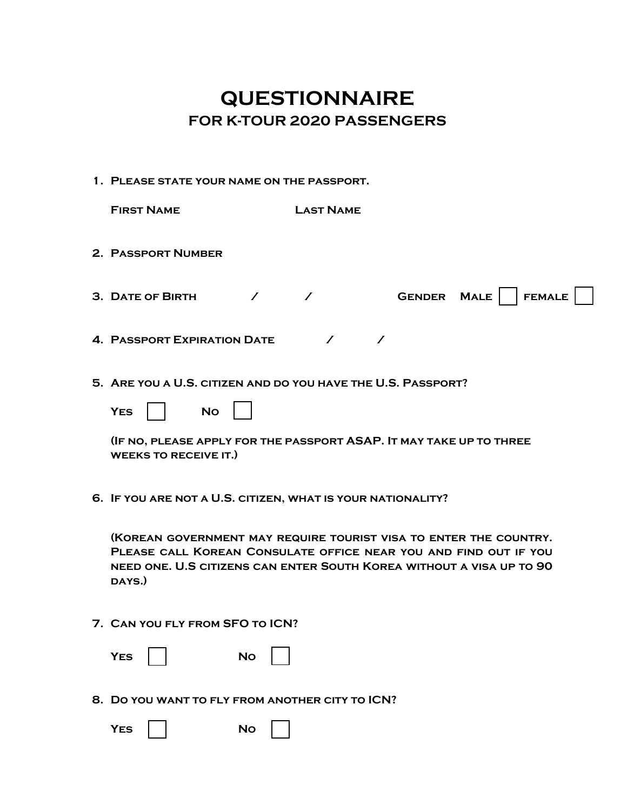## **QUESTIONNAIRE FOR K-TOUR 2020 PASSENGERS**

**1. Please state your name on the passport.**

| <b>FIRST NAME</b>                                            | <b>LAST NAME</b>                                                                                                                                                                                              |
|--------------------------------------------------------------|---------------------------------------------------------------------------------------------------------------------------------------------------------------------------------------------------------------|
| 2. PASSPORT NUMBER                                           |                                                                                                                                                                                                               |
| 3. DATE OF BIRTH<br>$\overline{ }$                           | GENDER MALE   FEMALE<br>$\mathcal{I}$                                                                                                                                                                         |
| <b>4. PASSPORT EXPIRATION DATE</b>                           | $\sqrt{ }$                                                                                                                                                                                                    |
| 5. ARE YOU A U.S. CITIZEN AND DO YOU HAVE THE U.S. PASSPORT? |                                                                                                                                                                                                               |
| <b>YES</b><br><b>No</b>                                      |                                                                                                                                                                                                               |
| <b>WEEKS TO RECEIVE IT.)</b>                                 | (IF NO, PLEASE APPLY FOR THE PASSPORT ASAP. IT MAY TAKE UP TO THREE                                                                                                                                           |
| 6. IF YOU ARE NOT A U.S. CITIZEN, WHAT IS YOUR NATIONALITY?  |                                                                                                                                                                                                               |
|                                                              | (KOREAN GOVERNMENT MAY REQUIRE TOURIST VISA TO ENTER THE COUNTRY.<br>PLEASE CALL KOREAN CONSULATE OFFICE NEAR YOU AND FIND OUT IF YOU<br>NEED ONE. U.S CITIZENS CAN ENTER SOUTH KOREA WITHOUT A VISA UP TO 90 |

## **7. Can you fly from SFO to ICN?**

**days.)**

| <b>YES</b> | <b>No</b> |  |
|------------|-----------|--|
|            |           |  |

**8. Do you want to fly from another city to ICN?**

| e<br>YES<br>$\sim$ | Nο<br>- |
|--------------------|---------|
|--------------------|---------|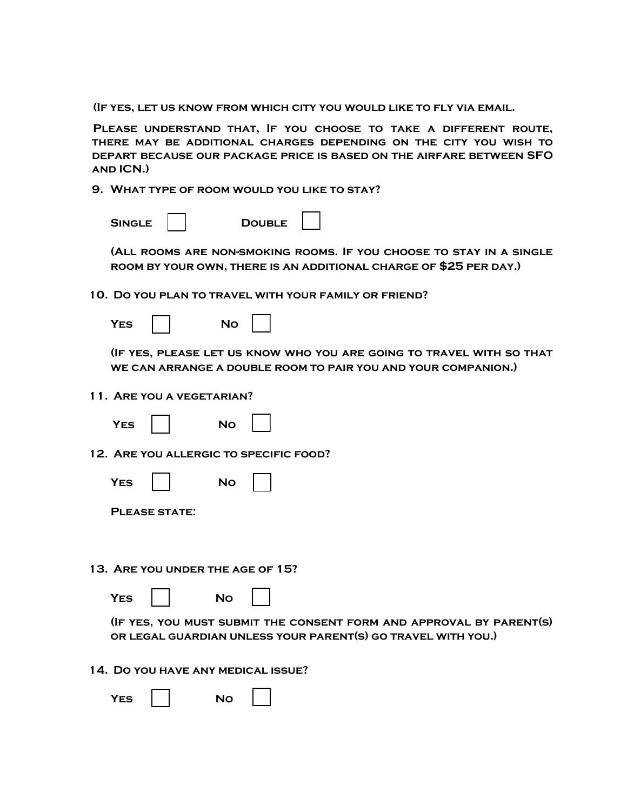**(If yes, let us know from which city you would like to fly via email.**

**Please understand that, If you choose to take a different route, there may be additional charges depending on the city you wish to depart because our package price is based on the airfare between SFO and ICN.)** 

**9. What type of room would you like to stay?**

| <b>SINGLE</b> | <b>DOUBLE</b> |
|---------------|---------------|
|---------------|---------------|

**(All rooms are non-smoking rooms. If you choose to stay in a single room by your own, there is an additional charge of \$25 per day.)** 

**10. Do you plan to travel with your family or friend?**

| FS<br>NO |  |
|----------|--|
|----------|--|

**(If yes, please let us know who you are going to travel with so that we can arrange a double room to pair you and your companion.)** 

**11. Are you a vegetarian?**

| í.<br>۰. |  |
|----------|--|
|          |  |



**12. Are you allergic to specific food?**

| YFS |  | NΩ |  |
|-----|--|----|--|
|-----|--|----|--|

|  |  | <b>PLEASE STATE:</b> |  |
|--|--|----------------------|--|
|  |  |                      |  |

**13. Are you under the age of 15?**

YES **No** 

**(If yes, you must submit the consent form and approval by parent(s) or legal guardian unless your parent(s) go travel with you.)** 

**14. Do you have any medical issue?**

| 7ES |  | J۵<br>- |  |  |
|-----|--|---------|--|--|
|-----|--|---------|--|--|